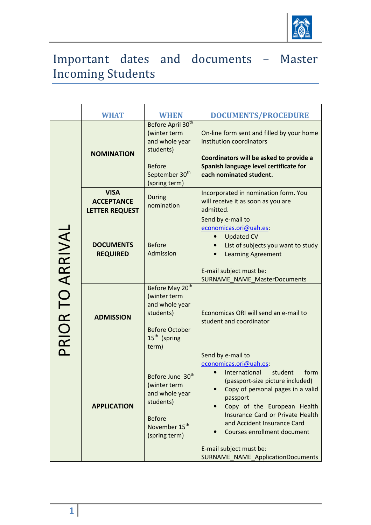

## Important dates and documents – Master Incoming Students

|                  | <b>WHAT</b>                                        | <b>WHEN</b>                                                                                                                                  | <b>DOCUMENTS/PROCEDURE</b>                                                                                                                                                                                                                                                                                                                                                   |
|------------------|----------------------------------------------------|----------------------------------------------------------------------------------------------------------------------------------------------|------------------------------------------------------------------------------------------------------------------------------------------------------------------------------------------------------------------------------------------------------------------------------------------------------------------------------------------------------------------------------|
| PRIOR TO ARRIVAL | <b>NOMINATION</b>                                  | Before April 30 <sup>th</sup><br>(winter term<br>and whole year<br>students)<br><b>Before</b><br>September 30 <sup>th</sup><br>(spring term) | On-line form sent and filled by your home<br>institution coordinators<br>Coordinators will be asked to provide a<br>Spanish language level certificate for<br>each nominated student.                                                                                                                                                                                        |
|                  | <b>VISA</b><br><b>ACCEPTANCE</b><br>LETTER REQUEST | <b>During</b><br>nomination                                                                                                                  | Incorporated in nomination form. You<br>will receive it as soon as you are<br>admitted.                                                                                                                                                                                                                                                                                      |
|                  | <b>DOCUMENTS</b><br><b>REQUIRED</b>                | <b>Before</b><br>Admission                                                                                                                   | Send by e-mail to<br>economicas.ori@uah.es:<br><b>Updated CV</b><br>List of subjects you want to study<br><b>Learning Agreement</b><br>E-mail subject must be:<br><b>SURNAME_NAME_MasterDocuments</b>                                                                                                                                                                        |
|                  | <b>ADMISSION</b>                                   | Before May 20 <sup>th</sup><br>(winter term<br>and whole year<br>students)<br><b>Before October</b><br>15 <sup>th</sup> (spring<br>term)     | Economicas ORI will send an e-mail to<br>student and coordinator                                                                                                                                                                                                                                                                                                             |
|                  | <b>APPLICATION</b>                                 | Before June 30 <sup>th</sup><br>(winter term<br>and whole year<br>students)<br><b>Before</b><br>November 15 <sup>th</sup><br>(spring term)   | Send by e-mail to<br>economicas.ori@uah.es:<br>International<br>student<br>form<br>(passport-size picture included)<br>Copy of personal pages in a valid<br>passport<br>Copy of the European Health<br>Insurance Card or Private Health<br>and Accident Insurance Card<br><b>Courses enrollment document</b><br>E-mail subject must be:<br>SURNAME_NAME_ApplicationDocuments |